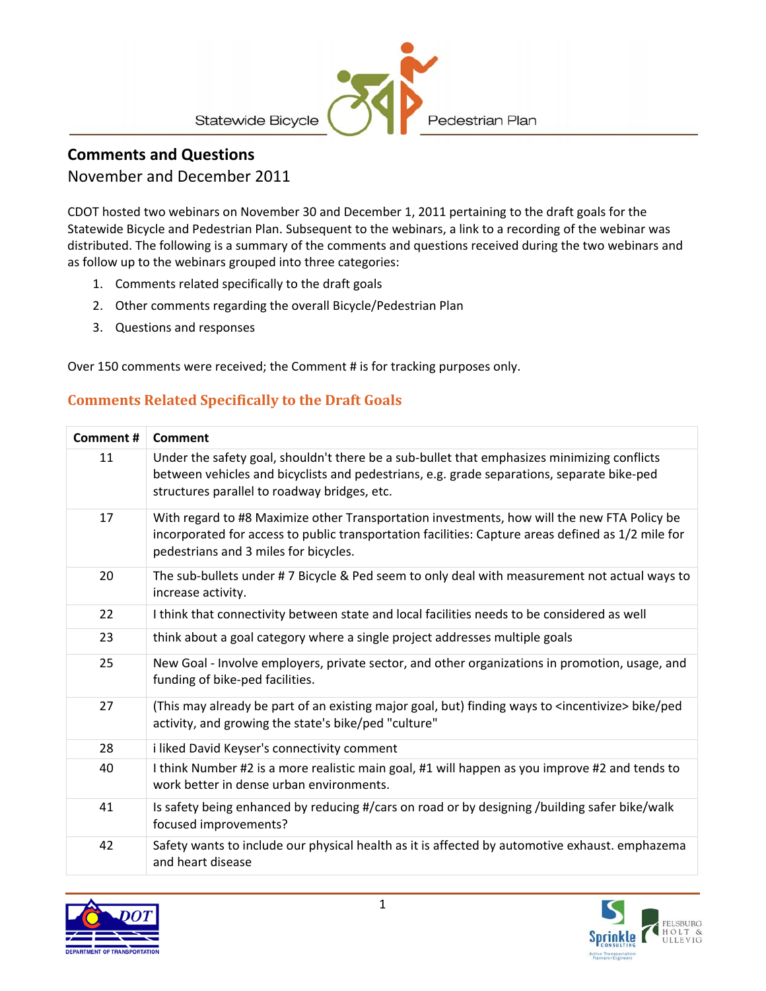

### **Comments and Questions**

#### November and December 2011

CDOT hosted two webinars on November 30 and December 1, 2011 pertaining to the draft goals for the Statewide Bicycle and Pedestrian Plan. Subsequent to the webinars, a link to a recording of the webinar was distributed. The following is a summary of the comments and questions received during the two webinars and as follow up to the webinars grouped into three categories:

- 1. Comments related specifically to the draft goals
- 2. Other comments regarding the overall Bicycle/Pedestrian Plan
- 3. Questions and responses

Over 150 comments were received; the Comment # is for tracking purposes only.

#### **Comments Related Specifically to the Draft Goals**

| Comment # | Comment                                                                                                                                                                                                                                    |  |  |
|-----------|--------------------------------------------------------------------------------------------------------------------------------------------------------------------------------------------------------------------------------------------|--|--|
| 11        | Under the safety goal, shouldn't there be a sub-bullet that emphasizes minimizing conflicts<br>between vehicles and bicyclists and pedestrians, e.g. grade separations, separate bike-ped<br>structures parallel to roadway bridges, etc.  |  |  |
| 17        | With regard to #8 Maximize other Transportation investments, how will the new FTA Policy be<br>incorporated for access to public transportation facilities: Capture areas defined as 1/2 mile for<br>pedestrians and 3 miles for bicycles. |  |  |
| 20        | The sub-bullets under #7 Bicycle & Ped seem to only deal with measurement not actual ways to<br>increase activity.                                                                                                                         |  |  |
| 22        | I think that connectivity between state and local facilities needs to be considered as well                                                                                                                                                |  |  |
| 23        | think about a goal category where a single project addresses multiple goals                                                                                                                                                                |  |  |
| 25        | New Goal - Involve employers, private sector, and other organizations in promotion, usage, and<br>funding of bike-ped facilities.                                                                                                          |  |  |
| 27        | (This may already be part of an existing major goal, but) finding ways to <incentivize> bike/ped<br/>activity, and growing the state's bike/ped "culture"</incentivize>                                                                    |  |  |
| 28        | i liked David Keyser's connectivity comment                                                                                                                                                                                                |  |  |
| 40        | I think Number #2 is a more realistic main goal, #1 will happen as you improve #2 and tends to<br>work better in dense urban environments.                                                                                                 |  |  |
| 41        | Is safety being enhanced by reducing #/cars on road or by designing /building safer bike/walk<br>focused improvements?                                                                                                                     |  |  |
| 42        | Safety wants to include our physical health as it is affected by automotive exhaust. emphazema<br>and heart disease                                                                                                                        |  |  |

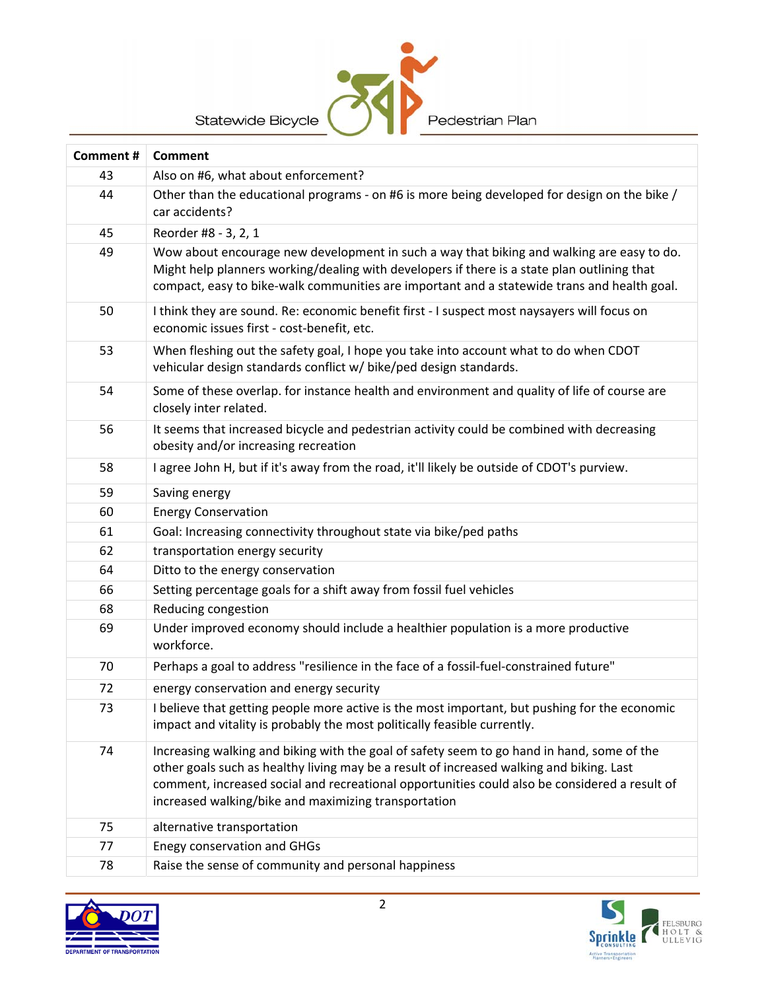

| Comment# | <b>Comment</b>                                                                                                                                                                                                                                                                                                                                  |  |  |
|----------|-------------------------------------------------------------------------------------------------------------------------------------------------------------------------------------------------------------------------------------------------------------------------------------------------------------------------------------------------|--|--|
| 43       | Also on #6, what about enforcement?                                                                                                                                                                                                                                                                                                             |  |  |
| 44       | Other than the educational programs - on #6 is more being developed for design on the bike /<br>car accidents?                                                                                                                                                                                                                                  |  |  |
| 45       | Reorder #8 - 3, 2, 1                                                                                                                                                                                                                                                                                                                            |  |  |
| 49       | Wow about encourage new development in such a way that biking and walking are easy to do.<br>Might help planners working/dealing with developers if there is a state plan outlining that<br>compact, easy to bike-walk communities are important and a statewide trans and health goal.                                                         |  |  |
| 50       | I think they are sound. Re: economic benefit first - I suspect most naysayers will focus on<br>economic issues first - cost-benefit, etc.                                                                                                                                                                                                       |  |  |
| 53       | When fleshing out the safety goal, I hope you take into account what to do when CDOT<br>vehicular design standards conflict w/ bike/ped design standards.                                                                                                                                                                                       |  |  |
| 54       | Some of these overlap. for instance health and environment and quality of life of course are<br>closely inter related.                                                                                                                                                                                                                          |  |  |
| 56       | It seems that increased bicycle and pedestrian activity could be combined with decreasing<br>obesity and/or increasing recreation                                                                                                                                                                                                               |  |  |
| 58       | I agree John H, but if it's away from the road, it'll likely be outside of CDOT's purview.                                                                                                                                                                                                                                                      |  |  |
| 59       | Saving energy                                                                                                                                                                                                                                                                                                                                   |  |  |
| 60       | <b>Energy Conservation</b>                                                                                                                                                                                                                                                                                                                      |  |  |
| 61       | Goal: Increasing connectivity throughout state via bike/ped paths                                                                                                                                                                                                                                                                               |  |  |
| 62       | transportation energy security                                                                                                                                                                                                                                                                                                                  |  |  |
| 64       | Ditto to the energy conservation                                                                                                                                                                                                                                                                                                                |  |  |
| 66       | Setting percentage goals for a shift away from fossil fuel vehicles                                                                                                                                                                                                                                                                             |  |  |
| 68       | Reducing congestion                                                                                                                                                                                                                                                                                                                             |  |  |
| 69       | Under improved economy should include a healthier population is a more productive<br>workforce.                                                                                                                                                                                                                                                 |  |  |
| 70       | Perhaps a goal to address "resilience in the face of a fossil-fuel-constrained future"                                                                                                                                                                                                                                                          |  |  |
| 72       | energy conservation and energy security                                                                                                                                                                                                                                                                                                         |  |  |
| 73       | I believe that getting people more active is the most important, but pushing for the economic<br>impact and vitality is probably the most politically feasible currently.                                                                                                                                                                       |  |  |
| 74       | Increasing walking and biking with the goal of safety seem to go hand in hand, some of the<br>other goals such as healthy living may be a result of increased walking and biking. Last<br>comment, increased social and recreational opportunities could also be considered a result of<br>increased walking/bike and maximizing transportation |  |  |
| 75       | alternative transportation                                                                                                                                                                                                                                                                                                                      |  |  |
| 77       | <b>Enegy conservation and GHGs</b>                                                                                                                                                                                                                                                                                                              |  |  |
| 78       | Raise the sense of community and personal happiness                                                                                                                                                                                                                                                                                             |  |  |



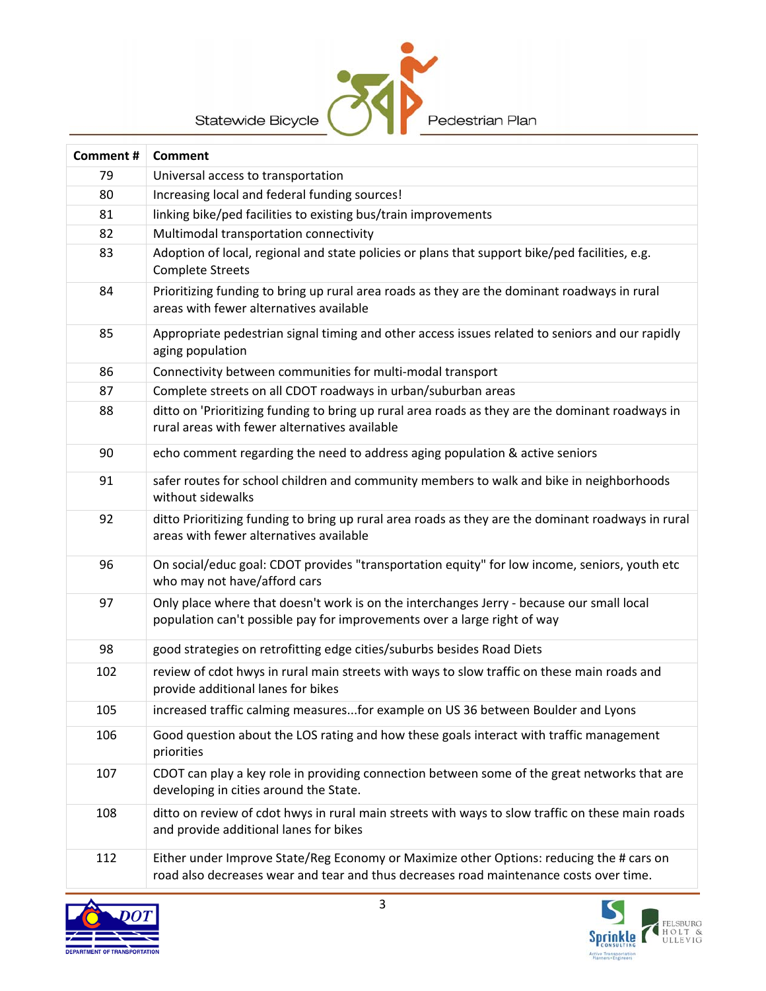

| Comment # | <b>Comment</b>                                                                                                                                                                     |  |  |
|-----------|------------------------------------------------------------------------------------------------------------------------------------------------------------------------------------|--|--|
| 79        | Universal access to transportation                                                                                                                                                 |  |  |
| 80        | Increasing local and federal funding sources!                                                                                                                                      |  |  |
| 81        | linking bike/ped facilities to existing bus/train improvements                                                                                                                     |  |  |
| 82        | Multimodal transportation connectivity                                                                                                                                             |  |  |
| 83        | Adoption of local, regional and state policies or plans that support bike/ped facilities, e.g.<br><b>Complete Streets</b>                                                          |  |  |
| 84        | Prioritizing funding to bring up rural area roads as they are the dominant roadways in rural<br>areas with fewer alternatives available                                            |  |  |
| 85        | Appropriate pedestrian signal timing and other access issues related to seniors and our rapidly<br>aging population                                                                |  |  |
| 86        | Connectivity between communities for multi-modal transport                                                                                                                         |  |  |
| 87        | Complete streets on all CDOT roadways in urban/suburban areas                                                                                                                      |  |  |
| 88        | ditto on 'Prioritizing funding to bring up rural area roads as they are the dominant roadways in<br>rural areas with fewer alternatives available                                  |  |  |
| 90        | echo comment regarding the need to address aging population & active seniors                                                                                                       |  |  |
| 91        | safer routes for school children and community members to walk and bike in neighborhoods<br>without sidewalks                                                                      |  |  |
| 92        | ditto Prioritizing funding to bring up rural area roads as they are the dominant roadways in rural<br>areas with fewer alternatives available                                      |  |  |
| 96        | On social/educ goal: CDOT provides "transportation equity" for low income, seniors, youth etc<br>who may not have/afford cars                                                      |  |  |
| 97        | Only place where that doesn't work is on the interchanges Jerry - because our small local<br>population can't possible pay for improvements over a large right of way              |  |  |
| 98        | good strategies on retrofitting edge cities/suburbs besides Road Diets                                                                                                             |  |  |
| 102       | review of cdot hwys in rural main streets with ways to slow traffic on these main roads and<br>provide additional lanes for bikes                                                  |  |  |
| 105       | increased traffic calming measuresfor example on US 36 between Boulder and Lyons                                                                                                   |  |  |
| 106       | Good question about the LOS rating and how these goals interact with traffic management<br>priorities                                                                              |  |  |
| 107       | CDOT can play a key role in providing connection between some of the great networks that are<br>developing in cities around the State.                                             |  |  |
| 108       | ditto on review of cdot hwys in rural main streets with ways to slow traffic on these main roads<br>and provide additional lanes for bikes                                         |  |  |
| 112       | Either under Improve State/Reg Economy or Maximize other Options: reducing the # cars on<br>road also decreases wear and tear and thus decreases road maintenance costs over time. |  |  |

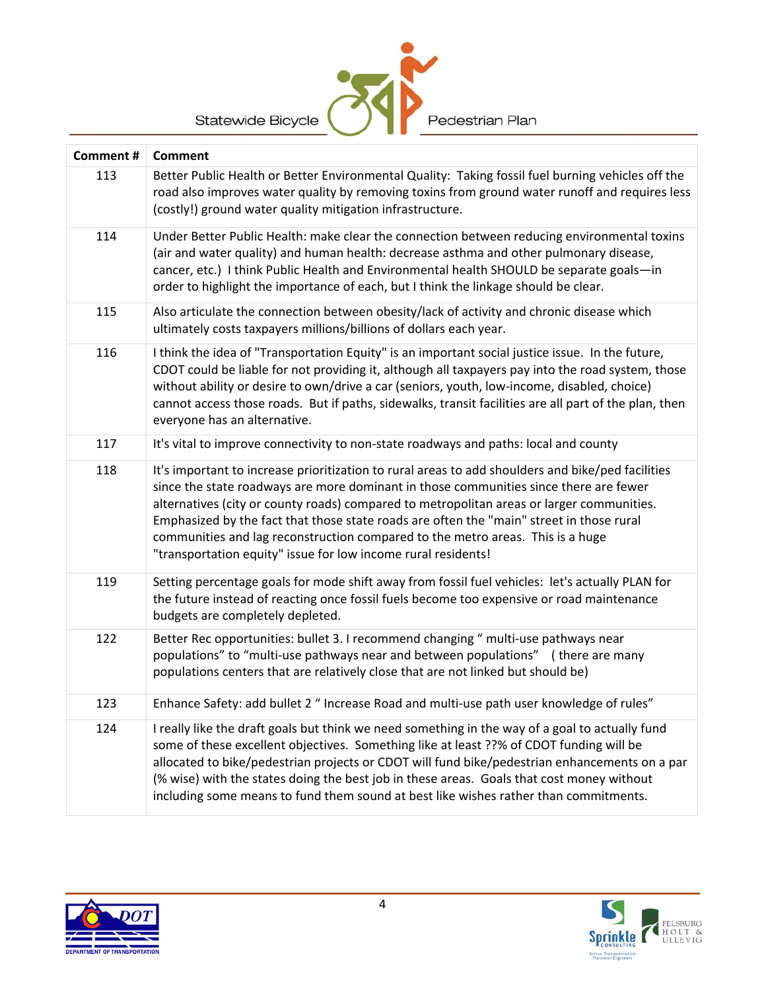| Comment # | Comment                                                                                                                                                                                                                                                                                                                                                                                                                                                                                                                                |  |  |
|-----------|----------------------------------------------------------------------------------------------------------------------------------------------------------------------------------------------------------------------------------------------------------------------------------------------------------------------------------------------------------------------------------------------------------------------------------------------------------------------------------------------------------------------------------------|--|--|
| 113       | Better Public Health or Better Environmental Quality: Taking fossil fuel burning vehicles off the<br>road also improves water quality by removing toxins from ground water runoff and requires less<br>(costly!) ground water quality mitigation infrastructure.                                                                                                                                                                                                                                                                       |  |  |
| 114       | Under Better Public Health: make clear the connection between reducing environmental toxins<br>(air and water quality) and human health: decrease asthma and other pulmonary disease,<br>cancer, etc.) I think Public Health and Environmental health SHOULD be separate goals-in<br>order to highlight the importance of each, but I think the linkage should be clear.                                                                                                                                                               |  |  |
| 115       | Also articulate the connection between obesity/lack of activity and chronic disease which<br>ultimately costs taxpayers millions/billions of dollars each year.                                                                                                                                                                                                                                                                                                                                                                        |  |  |
| 116       | I think the idea of "Transportation Equity" is an important social justice issue. In the future,<br>CDOT could be liable for not providing it, although all taxpayers pay into the road system, those<br>without ability or desire to own/drive a car (seniors, youth, low-income, disabled, choice)<br>cannot access those roads. But if paths, sidewalks, transit facilities are all part of the plan, then<br>everyone has an alternative.                                                                                          |  |  |
| 117       | It's vital to improve connectivity to non-state roadways and paths: local and county                                                                                                                                                                                                                                                                                                                                                                                                                                                   |  |  |
| 118       | It's important to increase prioritization to rural areas to add shoulders and bike/ped facilities<br>since the state roadways are more dominant in those communities since there are fewer<br>alternatives (city or county roads) compared to metropolitan areas or larger communities.<br>Emphasized by the fact that those state roads are often the "main" street in those rural<br>communities and lag reconstruction compared to the metro areas. This is a huge<br>"transportation equity" issue for low income rural residents! |  |  |
| 119       | Setting percentage goals for mode shift away from fossil fuel vehicles: let's actually PLAN for<br>the future instead of reacting once fossil fuels become too expensive or road maintenance<br>budgets are completely depleted.                                                                                                                                                                                                                                                                                                       |  |  |
| 122       | Better Rec opportunities: bullet 3. I recommend changing " multi-use pathways near<br>populations" to "multi-use pathways near and between populations" (there are many<br>populations centers that are relatively close that are not linked but should be)                                                                                                                                                                                                                                                                            |  |  |
| 123       | Enhance Safety: add bullet 2 " Increase Road and multi-use path user knowledge of rules"                                                                                                                                                                                                                                                                                                                                                                                                                                               |  |  |
| 124       | I really like the draft goals but think we need something in the way of a goal to actually fund<br>some of these excellent objectives. Something like at least ??% of CDOT funding will be<br>allocated to bike/pedestrian projects or CDOT will fund bike/pedestrian enhancements on a par<br>(% wise) with the states doing the best job in these areas. Goals that cost money without<br>including some means to fund them sound at best like wishes rather than commitments.                                                       |  |  |

Pedestrian Plan



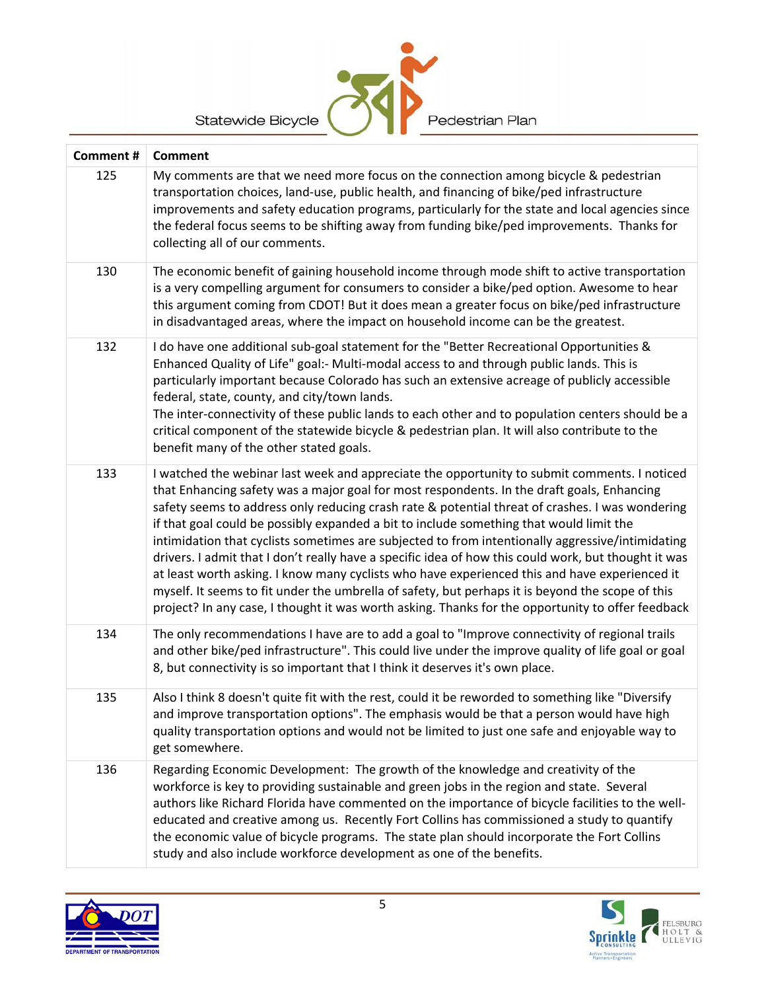| Statewide Bicycle<br>Pedestrian Plan |                                                                                                                                                                                                                                                                                                                                                                                                                                                                                                                                                                                                                                                                                                                                                                                                                                                                                                                |  |  |
|--------------------------------------|----------------------------------------------------------------------------------------------------------------------------------------------------------------------------------------------------------------------------------------------------------------------------------------------------------------------------------------------------------------------------------------------------------------------------------------------------------------------------------------------------------------------------------------------------------------------------------------------------------------------------------------------------------------------------------------------------------------------------------------------------------------------------------------------------------------------------------------------------------------------------------------------------------------|--|--|
| Comment #                            | Comment                                                                                                                                                                                                                                                                                                                                                                                                                                                                                                                                                                                                                                                                                                                                                                                                                                                                                                        |  |  |
| 125                                  | My comments are that we need more focus on the connection among bicycle & pedestrian<br>transportation choices, land-use, public health, and financing of bike/ped infrastructure<br>improvements and safety education programs, particularly for the state and local agencies since<br>the federal focus seems to be shifting away from funding bike/ped improvements. Thanks for<br>collecting all of our comments.                                                                                                                                                                                                                                                                                                                                                                                                                                                                                          |  |  |
| 130                                  | The economic benefit of gaining household income through mode shift to active transportation<br>is a very compelling argument for consumers to consider a bike/ped option. Awesome to hear<br>this argument coming from CDOT! But it does mean a greater focus on bike/ped infrastructure<br>in disadvantaged areas, where the impact on household income can be the greatest.                                                                                                                                                                                                                                                                                                                                                                                                                                                                                                                                 |  |  |
| 132                                  | I do have one additional sub-goal statement for the "Better Recreational Opportunities &<br>Enhanced Quality of Life" goal:- Multi-modal access to and through public lands. This is<br>particularly important because Colorado has such an extensive acreage of publicly accessible<br>federal, state, county, and city/town lands.<br>The inter-connectivity of these public lands to each other and to population centers should be a<br>critical component of the statewide bicycle & pedestrian plan. It will also contribute to the<br>benefit many of the other stated goals.                                                                                                                                                                                                                                                                                                                           |  |  |
| 133                                  | I watched the webinar last week and appreciate the opportunity to submit comments. I noticed<br>that Enhancing safety was a major goal for most respondents. In the draft goals, Enhancing<br>safety seems to address only reducing crash rate & potential threat of crashes. I was wondering<br>if that goal could be possibly expanded a bit to include something that would limit the<br>intimidation that cyclists sometimes are subjected to from intentionally aggressive/intimidating<br>drivers. I admit that I don't really have a specific idea of how this could work, but thought it was<br>at least worth asking. I know many cyclists who have experienced this and have experienced it<br>myself. It seems to fit under the umbrella of safety, but perhaps it is beyond the scope of this<br>project? In any case, I thought it was worth asking. Thanks for the opportunity to offer feedback |  |  |
| 134                                  | The only recommendations I have are to add a goal to "Improve connectivity of regional trails<br>and other bike/ped infrastructure". This could live under the improve quality of life goal or goal<br>8, but connectivity is so important that I think it deserves it's own place.                                                                                                                                                                                                                                                                                                                                                                                                                                                                                                                                                                                                                            |  |  |
| 135                                  | Also I think 8 doesn't quite fit with the rest, could it be reworded to something like "Diversify<br>and improve transportation options". The emphasis would be that a person would have high<br>quality transportation options and would not be limited to just one safe and enjoyable way to<br>get somewhere.                                                                                                                                                                                                                                                                                                                                                                                                                                                                                                                                                                                               |  |  |
| 136                                  | Regarding Economic Development: The growth of the knowledge and creativity of the<br>workforce is key to providing sustainable and green jobs in the region and state. Several<br>authors like Richard Florida have commented on the importance of bicycle facilities to the well-<br>educated and creative among us. Recently Fort Collins has commissioned a study to quantify<br>the economic value of bicycle programs. The state plan should incorporate the Fort Collins<br>study and also include workforce development as one of the benefits.                                                                                                                                                                                                                                                                                                                                                         |  |  |



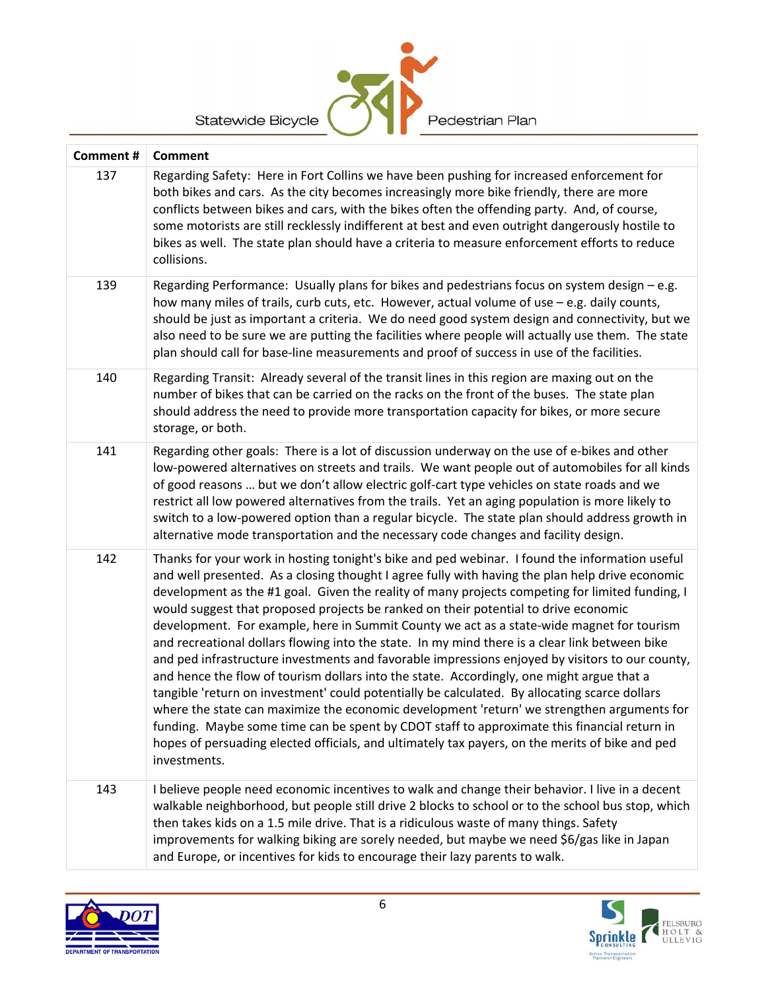| Statewide Bicycle<br>Pedestrian Plan |                                                                                                                                                                                                                                                                                                                                                                                                                                                                                                                                                                                            |  |
|--------------------------------------|--------------------------------------------------------------------------------------------------------------------------------------------------------------------------------------------------------------------------------------------------------------------------------------------------------------------------------------------------------------------------------------------------------------------------------------------------------------------------------------------------------------------------------------------------------------------------------------------|--|
| Comment #                            | <b>Comment</b>                                                                                                                                                                                                                                                                                                                                                                                                                                                                                                                                                                             |  |
| 137                                  | Regarding Safety: Here in Fort Collins we have been pushing for increased enforcement for<br>both bikes and cars. As the city becomes increasingly more bike friendly, there are more<br>conflicts between bikes and cars, with the bikes often the offending party. And, of course,<br>some motorists are still recklessly indifferent at best and even outright dangerously hostile to<br>bikes as well. The state plan should have a criteria to measure enforcement efforts to reduce<br>collisions.                                                                                   |  |
| 139                                  | Regarding Performance: Usually plans for bikes and pedestrians focus on system design - e.g.<br>how many miles of trails, curb cuts, etc. However, actual volume of use - e.g. daily counts,<br>should be just as important a criteria. We do need good system design and connectivity, but we<br>also need to be sure we are putting the facilities where people will actually use them. The state<br>plan should call for base-line measurements and proof of success in use of the facilities.                                                                                          |  |
| 140                                  | Regarding Transit: Already several of the transit lines in this region are maxing out on the<br>number of bikes that can be carried on the racks on the front of the buses. The state plan<br>should address the need to provide more transportation capacity for bikes, or more secure<br>storage, or both.                                                                                                                                                                                                                                                                               |  |
| 141                                  | Regarding other goals: There is a lot of discussion underway on the use of e-bikes and other<br>low-powered alternatives on streets and trails. We want people out of automobiles for all kinds<br>of good reasons  but we don't allow electric golf-cart type vehicles on state roads and we<br>restrict all low powered alternatives from the trails. Yet an aging population is more likely to<br>switch to a low-powered option than a regular bicycle. The state plan should address growth in<br>alternative mode transportation and the necessary code changes and facility design. |  |
| 142                                  | Thanks for your work in hosting tonight's bike and ped webinar. I found the information useful<br>and well presented. As a closing thought I agree fully with having the plan help drive economic<br>douglopment as the #1 goal. Civen the reality of many projects competing for limited funding L                                                                                                                                                                                                                                                                                        |  |

- development as the #1 goal. Given the reality of many projects competing for limited funding, I would suggest that proposed projects be ranked on their potential to drive economic development. For example, here in Summit County we act as a state‐wide magnet for tourism and recreational dollars flowing into the state. In my mind there is a clear link between bike and ped infrastructure investments and favorable impressions enjoyed by visitors to our county, and hence the flow of tourism dollars into the state. Accordingly, one might argue that a tangible 'return on investment' could potentially be calculated. By allocating scarce dollars where the state can maximize the economic development 'return' we strengthen arguments for funding. Maybe some time can be spent by CDOT staff to approximate this financial return in hopes of persuading elected officials, and ultimately tax payers, on the merits of bike and ped investments.
- 143 I believe people need economic incentives to walk and change their behavior. I live in a decent walkable neighborhood, but people still drive 2 blocks to school or to the school bus stop, which then takes kids on a 1.5 mile drive. That is a ridiculous waste of many things. Safety improvements for walking biking are sorely needed, but maybe we need \$6/gas like in Japan and Europe, or incentives for kids to encourage their lazy parents to walk.



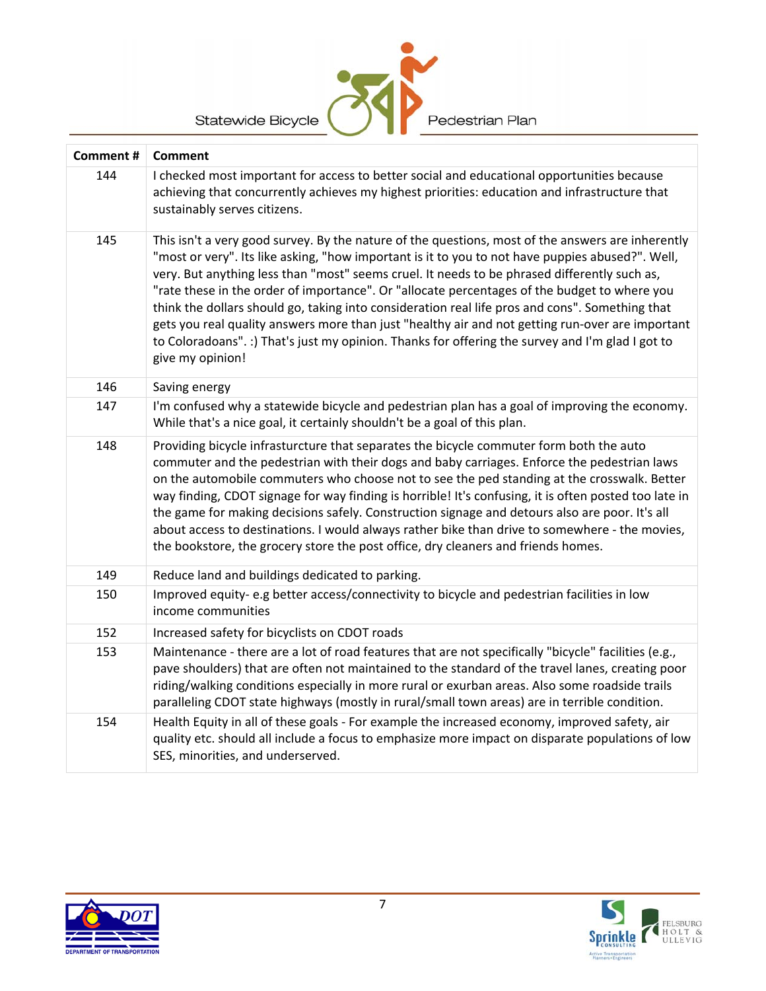

**Comment # Comment** 144 I checked most important for access to better social and educational opportunities because achieving that concurrently achieves my highest priorities: education and infrastructure that sustainably serves citizens. 145 This isn't a very good survey. By the nature of the questions, most of the answers are inherently "most or very". Its like asking, "how important is it to you to not have puppies abused?". Well, very. But anything less than "most" seems cruel. It needs to be phrased differently such as, "rate these in the order of importance". Or "allocate percentages of the budget to where you think the dollars should go, taking into consideration real life pros and cons". Something that gets you real quality answers more than just "healthy air and not getting run‐over are important to Coloradoans". :) That's just my opinion. Thanks for offering the survey and I'm glad I got to give my opinion! 146 Saving energy 147 I'm confused why a statewide bicycle and pedestrian plan has a goal of improving the economy. While that's a nice goal, it certainly shouldn't be a goal of this plan. 148 Providing bicycle infrasturcture that separates the bicycle commuter form both the auto commuter and the pedestrian with their dogs and baby carriages. Enforce the pedestrian laws on the automobile commuters who choose not to see the ped standing at the crosswalk. Better way finding, CDOT signage for way finding is horrible! It's confusing, it is often posted too late in the game for making decisions safely. Construction signage and detours also are poor. It's all about access to destinations. I would always rather bike than drive to somewhere ‐ the movies, the bookstore, the grocery store the post office, dry cleaners and friends homes. 149 Reduce land and buildings dedicated to parking. 150 Improved equity- e.g better access/connectivity to bicycle and pedestrian facilities in low income communities 152 | Increased safety for bicyclists on CDOT roads 153 Maintenance - there are a lot of road features that are not specifically "bicycle" facilities (e.g., pave shoulders) that are often not maintained to the standard of the travel lanes, creating poor riding/walking conditions especially in more rural or exurban areas. Also some roadside trails paralleling CDOT state highways (mostly in rural/small town areas) are in terrible condition. 154 Health Equity in all of these goals - For example the increased economy, improved safety, air quality etc. should all include a focus to emphasize more impact on disparate populations of low SES, minorities, and underserved.



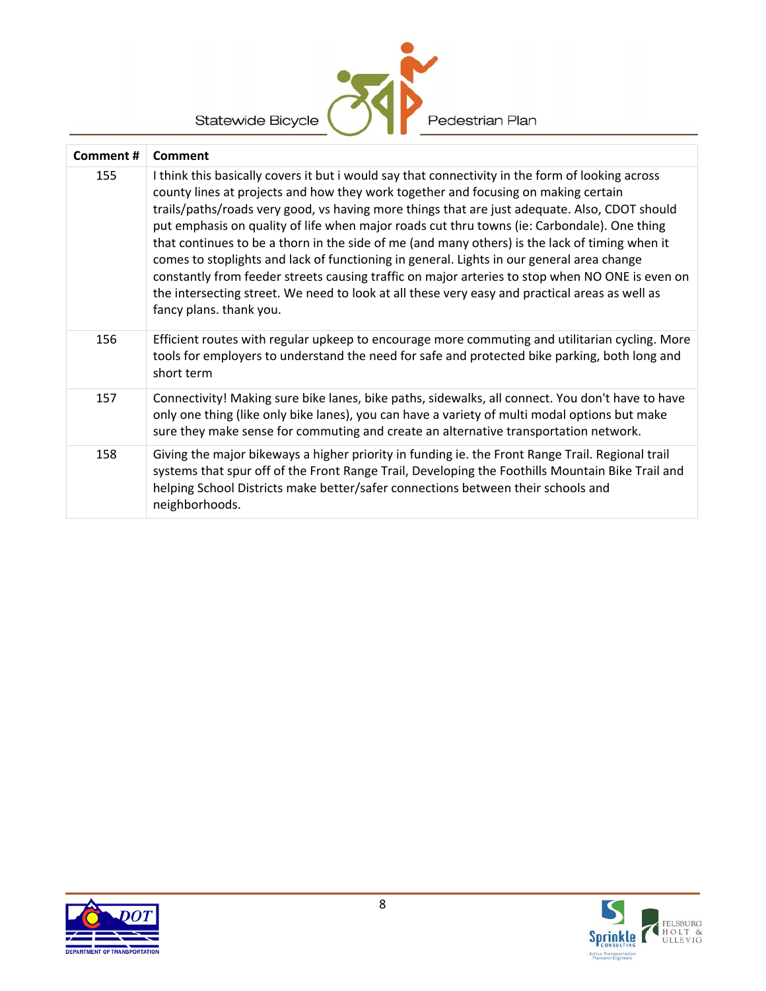| <b>Statewide Bicycle</b><br>Pedestrian Plan |                                                                                                                                                                                                                                                                                                                                                                                                                                                                                                                                                                                                                                                                                                                                                                                                                       |  |
|---------------------------------------------|-----------------------------------------------------------------------------------------------------------------------------------------------------------------------------------------------------------------------------------------------------------------------------------------------------------------------------------------------------------------------------------------------------------------------------------------------------------------------------------------------------------------------------------------------------------------------------------------------------------------------------------------------------------------------------------------------------------------------------------------------------------------------------------------------------------------------|--|
| Comment #                                   | Comment                                                                                                                                                                                                                                                                                                                                                                                                                                                                                                                                                                                                                                                                                                                                                                                                               |  |
| 155                                         | I think this basically covers it but i would say that connectivity in the form of looking across<br>county lines at projects and how they work together and focusing on making certain<br>trails/paths/roads very good, vs having more things that are just adequate. Also, CDOT should<br>put emphasis on quality of life when major roads cut thru towns (ie: Carbondale). One thing<br>that continues to be a thorn in the side of me (and many others) is the lack of timing when it<br>comes to stoplights and lack of functioning in general. Lights in our general area change<br>constantly from feeder streets causing traffic on major arteries to stop when NO ONE is even on<br>the intersecting street. We need to look at all these very easy and practical areas as well as<br>fancy plans. thank you. |  |
| 156                                         | Efficient routes with regular upkeep to encourage more commuting and utilitarian cycling. More<br>tools for employers to understand the need for safe and protected bike parking, both long and<br>short term                                                                                                                                                                                                                                                                                                                                                                                                                                                                                                                                                                                                         |  |
| 157                                         | Connectivity! Making sure bike lanes, bike paths, sidewalks, all connect. You don't have to have<br>only one thing (like only bike lanes), you can have a variety of multi modal options but make<br>sure they make sense for commuting and create an alternative transportation network.                                                                                                                                                                                                                                                                                                                                                                                                                                                                                                                             |  |
| 158                                         | Giving the major bikeways a higher priority in funding ie. the Front Range Trail. Regional trail<br>systems that spur off of the Front Range Trail, Developing the Foothills Mountain Bike Trail and<br>helping School Districts make better/safer connections between their schools and<br>neighborhoods.                                                                                                                                                                                                                                                                                                                                                                                                                                                                                                            |  |



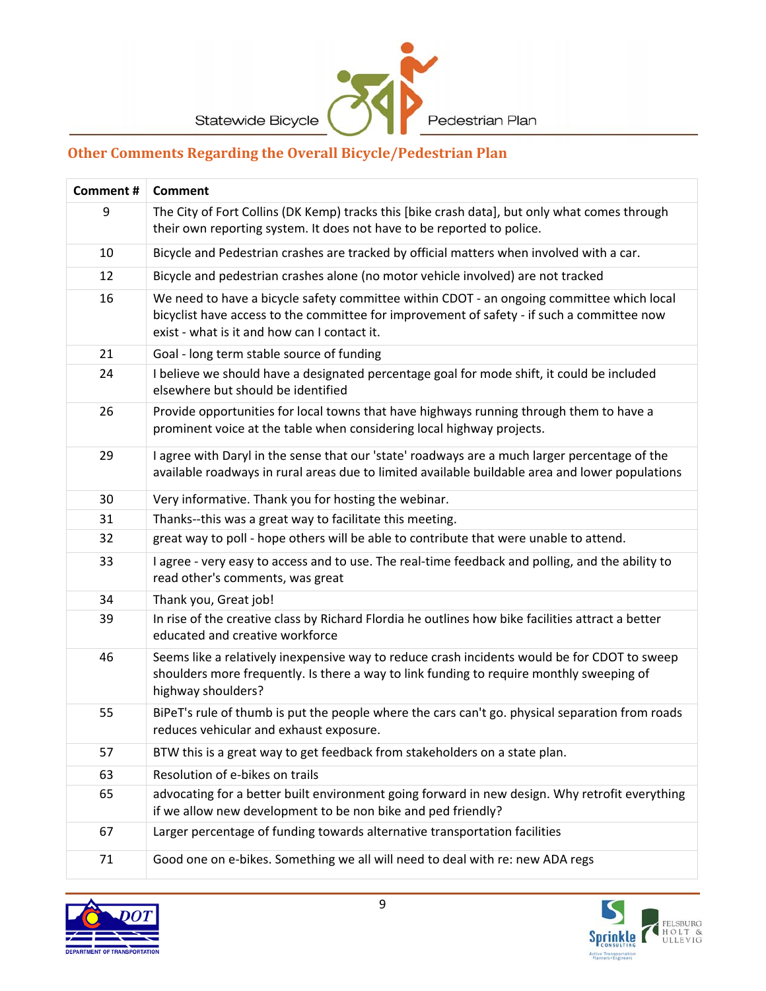

# **Other Comments Regarding the Overall Bicycle/Pedestrian Plan**

| <b>Comment #</b> | Comment                                                                                                                                                                                                                                 |  |  |
|------------------|-----------------------------------------------------------------------------------------------------------------------------------------------------------------------------------------------------------------------------------------|--|--|
| 9                | The City of Fort Collins (DK Kemp) tracks this [bike crash data], but only what comes through<br>their own reporting system. It does not have to be reported to police.                                                                 |  |  |
| 10               | Bicycle and Pedestrian crashes are tracked by official matters when involved with a car.                                                                                                                                                |  |  |
| 12               | Bicycle and pedestrian crashes alone (no motor vehicle involved) are not tracked                                                                                                                                                        |  |  |
| 16               | We need to have a bicycle safety committee within CDOT - an ongoing committee which local<br>bicyclist have access to the committee for improvement of safety - if such a committee now<br>exist - what is it and how can I contact it. |  |  |
| 21               | Goal - long term stable source of funding                                                                                                                                                                                               |  |  |
| 24               | I believe we should have a designated percentage goal for mode shift, it could be included<br>elsewhere but should be identified                                                                                                        |  |  |
| 26               | Provide opportunities for local towns that have highways running through them to have a<br>prominent voice at the table when considering local highway projects.                                                                        |  |  |
| 29               | I agree with Daryl in the sense that our 'state' roadways are a much larger percentage of the<br>available roadways in rural areas due to limited available buildable area and lower populations                                        |  |  |
| 30               | Very informative. Thank you for hosting the webinar.                                                                                                                                                                                    |  |  |
| 31               | Thanks--this was a great way to facilitate this meeting.                                                                                                                                                                                |  |  |
| 32               | great way to poll - hope others will be able to contribute that were unable to attend.                                                                                                                                                  |  |  |
| 33               | I agree - very easy to access and to use. The real-time feedback and polling, and the ability to<br>read other's comments, was great                                                                                                    |  |  |
| 34               | Thank you, Great job!                                                                                                                                                                                                                   |  |  |
| 39               | In rise of the creative class by Richard Flordia he outlines how bike facilities attract a better<br>educated and creative workforce                                                                                                    |  |  |
| 46               | Seems like a relatively inexpensive way to reduce crash incidents would be for CDOT to sweep<br>shoulders more frequently. Is there a way to link funding to require monthly sweeping of<br>highway shoulders?                          |  |  |
| 55               | BiPeT's rule of thumb is put the people where the cars can't go. physical separation from roads<br>reduces vehicular and exhaust exposure.                                                                                              |  |  |
| 57               | BTW this is a great way to get feedback from stakeholders on a state plan.                                                                                                                                                              |  |  |
| 63               | Resolution of e-bikes on trails                                                                                                                                                                                                         |  |  |
| 65               | advocating for a better built environment going forward in new design. Why retrofit everything<br>if we allow new development to be non bike and ped friendly?                                                                          |  |  |
| 67               | Larger percentage of funding towards alternative transportation facilities                                                                                                                                                              |  |  |
| 71               | Good one on e-bikes. Something we all will need to deal with re: new ADA regs                                                                                                                                                           |  |  |

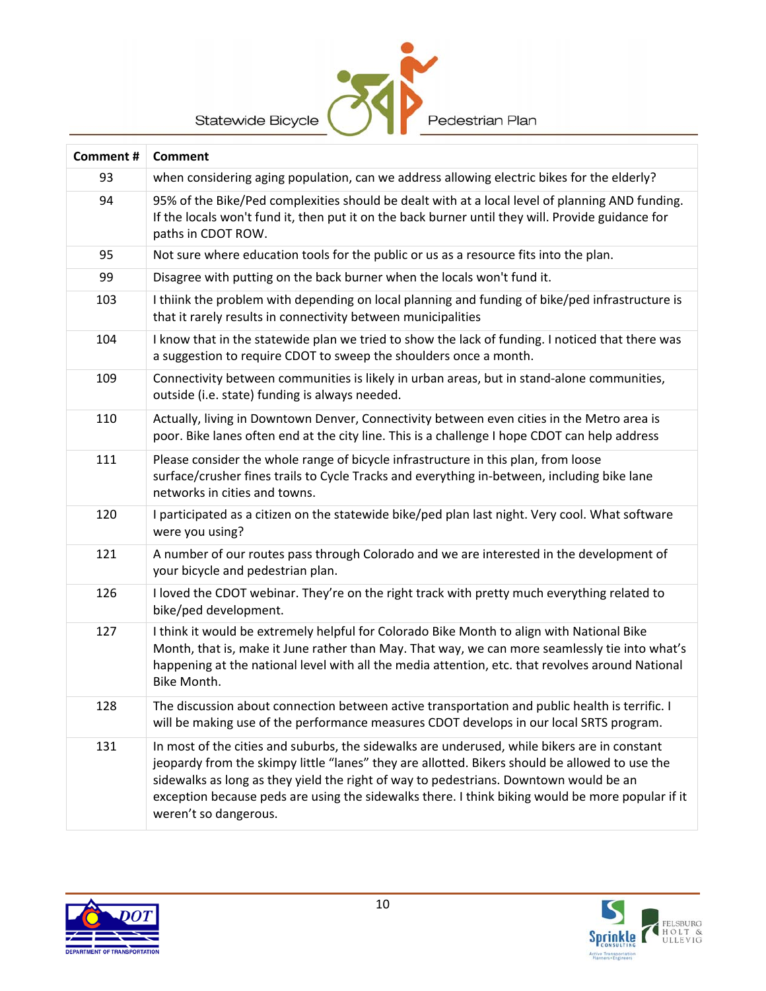Statewide Bicycle



| Comment # | <b>Comment</b>                                                                                                                                                                                                                                                                                                                                                                                                       |  |  |
|-----------|----------------------------------------------------------------------------------------------------------------------------------------------------------------------------------------------------------------------------------------------------------------------------------------------------------------------------------------------------------------------------------------------------------------------|--|--|
| 93        | when considering aging population, can we address allowing electric bikes for the elderly?                                                                                                                                                                                                                                                                                                                           |  |  |
| 94        | 95% of the Bike/Ped complexities should be dealt with at a local level of planning AND funding.<br>If the locals won't fund it, then put it on the back burner until they will. Provide guidance for<br>paths in CDOT ROW.                                                                                                                                                                                           |  |  |
| 95        | Not sure where education tools for the public or us as a resource fits into the plan.                                                                                                                                                                                                                                                                                                                                |  |  |
| 99        | Disagree with putting on the back burner when the locals won't fund it.                                                                                                                                                                                                                                                                                                                                              |  |  |
| 103       | I thiink the problem with depending on local planning and funding of bike/ped infrastructure is<br>that it rarely results in connectivity between municipalities                                                                                                                                                                                                                                                     |  |  |
| 104       | I know that in the statewide plan we tried to show the lack of funding. I noticed that there was<br>a suggestion to require CDOT to sweep the shoulders once a month.                                                                                                                                                                                                                                                |  |  |
| 109       | Connectivity between communities is likely in urban areas, but in stand-alone communities,<br>outside (i.e. state) funding is always needed.                                                                                                                                                                                                                                                                         |  |  |
| 110       | Actually, living in Downtown Denver, Connectivity between even cities in the Metro area is<br>poor. Bike lanes often end at the city line. This is a challenge I hope CDOT can help address                                                                                                                                                                                                                          |  |  |
| 111       | Please consider the whole range of bicycle infrastructure in this plan, from loose<br>surface/crusher fines trails to Cycle Tracks and everything in-between, including bike lane<br>networks in cities and towns.                                                                                                                                                                                                   |  |  |
| 120       | I participated as a citizen on the statewide bike/ped plan last night. Very cool. What software<br>were you using?                                                                                                                                                                                                                                                                                                   |  |  |
| 121       | A number of our routes pass through Colorado and we are interested in the development of<br>your bicycle and pedestrian plan.                                                                                                                                                                                                                                                                                        |  |  |
| 126       | I loved the CDOT webinar. They're on the right track with pretty much everything related to<br>bike/ped development.                                                                                                                                                                                                                                                                                                 |  |  |
| 127       | I think it would be extremely helpful for Colorado Bike Month to align with National Bike<br>Month, that is, make it June rather than May. That way, we can more seamlessly tie into what's<br>happening at the national level with all the media attention, etc. that revolves around National<br>Bike Month.                                                                                                       |  |  |
| 128       | The discussion about connection between active transportation and public health is terrific. I<br>will be making use of the performance measures CDOT develops in our local SRTS program.                                                                                                                                                                                                                            |  |  |
| 131       | In most of the cities and suburbs, the sidewalks are underused, while bikers are in constant<br>jeopardy from the skimpy little "lanes" they are allotted. Bikers should be allowed to use the<br>sidewalks as long as they yield the right of way to pedestrians. Downtown would be an<br>exception because peds are using the sidewalks there. I think biking would be more popular if it<br>weren't so dangerous. |  |  |



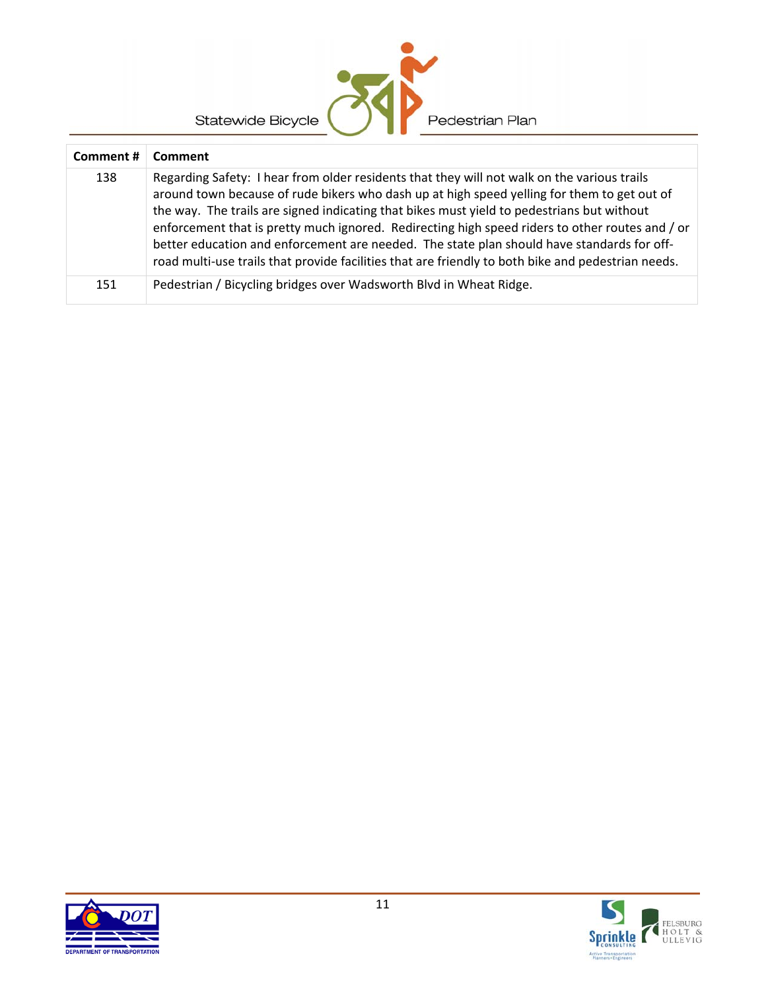| Statewide Bicycle<br>Pedestrian Plan |                                                                                                                                                                                                                                                                                                                                                                                                                                                                                                                                                                                                 |  |  |
|--------------------------------------|-------------------------------------------------------------------------------------------------------------------------------------------------------------------------------------------------------------------------------------------------------------------------------------------------------------------------------------------------------------------------------------------------------------------------------------------------------------------------------------------------------------------------------------------------------------------------------------------------|--|--|
| Comment#                             | Comment                                                                                                                                                                                                                                                                                                                                                                                                                                                                                                                                                                                         |  |  |
| 138                                  | Regarding Safety: I hear from older residents that they will not walk on the various trails<br>around town because of rude bikers who dash up at high speed yelling for them to get out of<br>the way. The trails are signed indicating that bikes must yield to pedestrians but without<br>enforcement that is pretty much ignored. Redirecting high speed riders to other routes and / or<br>better education and enforcement are needed. The state plan should have standards for off-<br>road multi-use trails that provide facilities that are friendly to both bike and pedestrian needs. |  |  |
| 151                                  | Pedestrian / Bicycling bridges over Wadsworth Blvd in Wheat Ridge.                                                                                                                                                                                                                                                                                                                                                                                                                                                                                                                              |  |  |

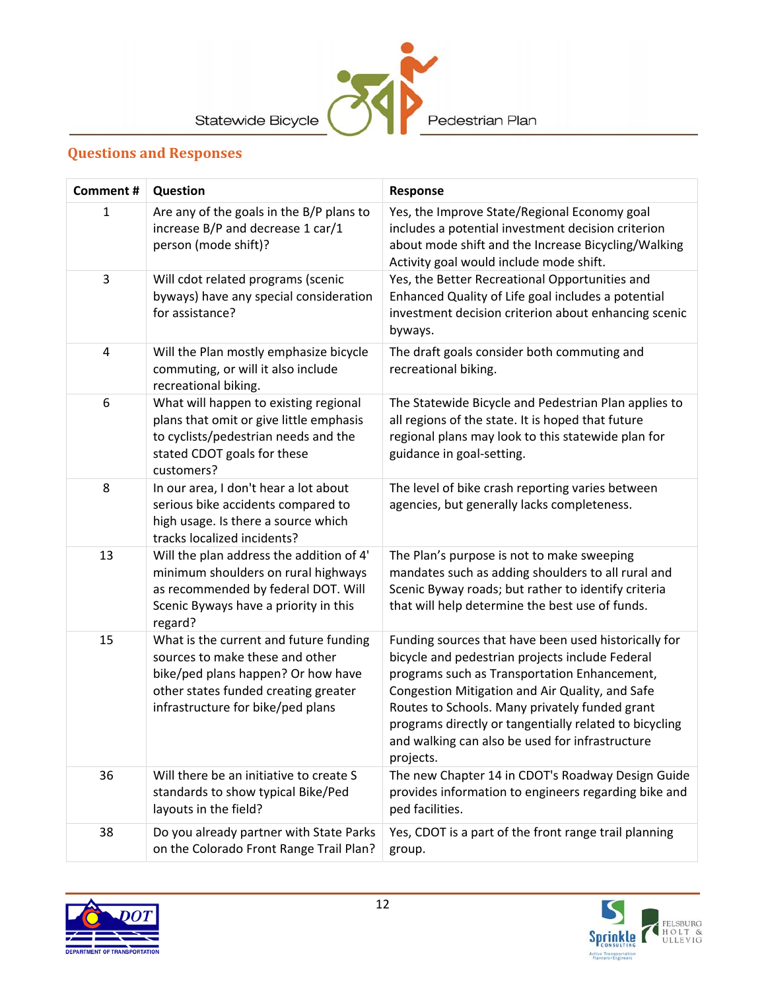

## **Questions and Responses**

| <b>Comment#</b>         | Question                                                                                                                                                                                     | Response                                                                                                                                                                                                                                                                                                                                                                               |
|-------------------------|----------------------------------------------------------------------------------------------------------------------------------------------------------------------------------------------|----------------------------------------------------------------------------------------------------------------------------------------------------------------------------------------------------------------------------------------------------------------------------------------------------------------------------------------------------------------------------------------|
| $\mathbf{1}$            | Are any of the goals in the B/P plans to<br>increase B/P and decrease 1 car/1<br>person (mode shift)?                                                                                        | Yes, the Improve State/Regional Economy goal<br>includes a potential investment decision criterion<br>about mode shift and the Increase Bicycling/Walking<br>Activity goal would include mode shift.                                                                                                                                                                                   |
| 3                       | Will cdot related programs (scenic<br>byways) have any special consideration<br>for assistance?                                                                                              | Yes, the Better Recreational Opportunities and<br>Enhanced Quality of Life goal includes a potential<br>investment decision criterion about enhancing scenic<br>byways.                                                                                                                                                                                                                |
| $\overline{\mathbf{4}}$ | Will the Plan mostly emphasize bicycle<br>commuting, or will it also include<br>recreational biking.                                                                                         | The draft goals consider both commuting and<br>recreational biking.                                                                                                                                                                                                                                                                                                                    |
| 6                       | What will happen to existing regional<br>plans that omit or give little emphasis<br>to cyclists/pedestrian needs and the<br>stated CDOT goals for these<br>customers?                        | The Statewide Bicycle and Pedestrian Plan applies to<br>all regions of the state. It is hoped that future<br>regional plans may look to this statewide plan for<br>guidance in goal-setting.                                                                                                                                                                                           |
| 8                       | In our area, I don't hear a lot about<br>serious bike accidents compared to<br>high usage. Is there a source which<br>tracks localized incidents?                                            | The level of bike crash reporting varies between<br>agencies, but generally lacks completeness.                                                                                                                                                                                                                                                                                        |
| 13                      | Will the plan address the addition of 4'<br>minimum shoulders on rural highways<br>as recommended by federal DOT. Will<br>Scenic Byways have a priority in this<br>regard?                   | The Plan's purpose is not to make sweeping<br>mandates such as adding shoulders to all rural and<br>Scenic Byway roads; but rather to identify criteria<br>that will help determine the best use of funds.                                                                                                                                                                             |
| 15                      | What is the current and future funding<br>sources to make these and other<br>bike/ped plans happen? Or how have<br>other states funded creating greater<br>infrastructure for bike/ped plans | Funding sources that have been used historically for<br>bicycle and pedestrian projects include Federal<br>programs such as Transportation Enhancement,<br>Congestion Mitigation and Air Quality, and Safe<br>Routes to Schools. Many privately funded grant<br>programs directly or tangentially related to bicycling<br>and walking can also be used for infrastructure<br>projects. |
| 36                      | Will there be an initiative to create S<br>standards to show typical Bike/Ped<br>layouts in the field?                                                                                       | The new Chapter 14 in CDOT's Roadway Design Guide<br>provides information to engineers regarding bike and<br>ped facilities.                                                                                                                                                                                                                                                           |
| 38                      | Do you already partner with State Parks<br>on the Colorado Front Range Trail Plan?                                                                                                           | Yes, CDOT is a part of the front range trail planning<br>group.                                                                                                                                                                                                                                                                                                                        |